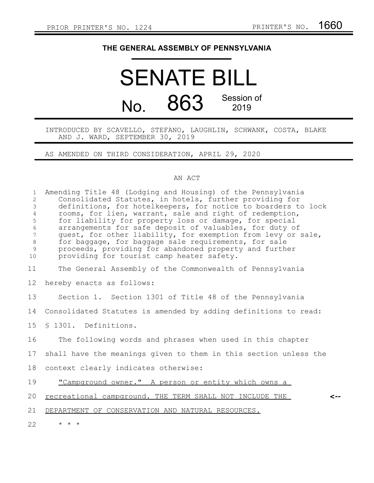## **THE GENERAL ASSEMBLY OF PENNSYLVANIA**

## SENATE BILL No. 863 Session of 2019

INTRODUCED BY SCAVELLO, STEFANO, LAUGHLIN, SCHWANK, COSTA, BLAKE AND J. WARD, SEPTEMBER 30, 2019

AS AMENDED ON THIRD CONSIDERATION, APRIL 29, 2020

## AN ACT

| $\mathbf{1}$<br>$\overline{c}$<br>3<br>$\overline{4}$<br>5<br>$\sqrt{6}$<br>$\overline{7}$<br>$\,8\,$<br>9<br>10 | Amending Title 48 (Lodging and Housing) of the Pennsylvania<br>Consolidated Statutes, in hotels, further providing for<br>definitions, for hotelkeepers, for notice to boarders to lock<br>rooms, for lien, warrant, sale and right of redemption,<br>for liability for property loss or damage, for special<br>arrangements for safe deposit of valuables, for duty of<br>guest, for other liability, for exemption from levy or sale,<br>for baggage, for baggage sale requirements, for sale<br>proceeds, providing for abandoned property and further<br>providing for tourist camp heater safety. |
|------------------------------------------------------------------------------------------------------------------|--------------------------------------------------------------------------------------------------------------------------------------------------------------------------------------------------------------------------------------------------------------------------------------------------------------------------------------------------------------------------------------------------------------------------------------------------------------------------------------------------------------------------------------------------------------------------------------------------------|
| 11                                                                                                               | The General Assembly of the Commonwealth of Pennsylvania                                                                                                                                                                                                                                                                                                                                                                                                                                                                                                                                               |
| 12                                                                                                               | hereby enacts as follows:                                                                                                                                                                                                                                                                                                                                                                                                                                                                                                                                                                              |
| 13                                                                                                               | Section 1. Section 1301 of Title 48 of the Pennsylvania                                                                                                                                                                                                                                                                                                                                                                                                                                                                                                                                                |
| 14                                                                                                               | Consolidated Statutes is amended by adding definitions to read:                                                                                                                                                                                                                                                                                                                                                                                                                                                                                                                                        |
| 15                                                                                                               | \$1301. Definitions.                                                                                                                                                                                                                                                                                                                                                                                                                                                                                                                                                                                   |
| 16                                                                                                               | The following words and phrases when used in this chapter                                                                                                                                                                                                                                                                                                                                                                                                                                                                                                                                              |
| 17                                                                                                               | shall have the meanings given to them in this section unless the                                                                                                                                                                                                                                                                                                                                                                                                                                                                                                                                       |
| 18                                                                                                               | context clearly indicates otherwise:                                                                                                                                                                                                                                                                                                                                                                                                                                                                                                                                                                   |
| 19                                                                                                               | "Campground owner." A person or entity which owns a                                                                                                                                                                                                                                                                                                                                                                                                                                                                                                                                                    |
| 20                                                                                                               | recreational campground. THE TERM SHALL NOT INCLUDE THE                                                                                                                                                                                                                                                                                                                                                                                                                                                                                                                                                |
| 21                                                                                                               | DEPARTMENT OF CONSERVATION AND NATURAL RESOURCES.                                                                                                                                                                                                                                                                                                                                                                                                                                                                                                                                                      |
| 22                                                                                                               | $\star$ $\star$ $\star$                                                                                                                                                                                                                                                                                                                                                                                                                                                                                                                                                                                |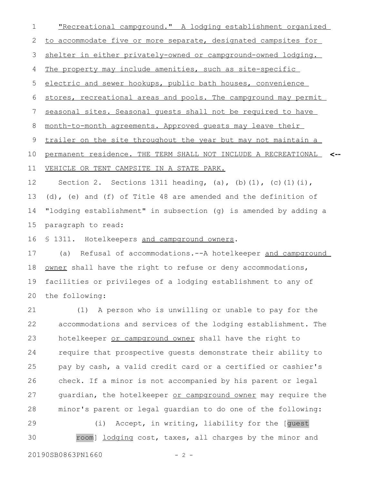"Recreational campground." A lodging establishment organized to accommodate five or more separate, designated campsites for shelter in either privately-owned or campground-owned lodging. The property may include amenities, such as site-specific electric and sewer hookups, public bath houses, convenience stores, recreational areas and pools. The campground may permit seasonal sites. Seasonal guests shall not be required to have month-to-month agreements. Approved guests may leave their trailer on the site throughout the year but may not maintain a permanent residence. THE TERM SHALL NOT INCLUDE A RECREATIONAL **<--** VEHICLE OR TENT CAMPSITE IN A STATE PARK. Section 2. Sections 1311 heading, (a), (b)(1), (c)(1)(i), (d), (e) and (f) of Title 48 are amended and the definition of "lodging establishment" in subsection (g) is amended by adding a 1 2 3 4 5 6 7 8 9 10 11 12 13 14

paragraph to read: 15

§ 1311. Hotelkeepers and campground owners. 16

(a) Refusal of accommodations.--A hotelkeeper and campground owner shall have the right to refuse or deny accommodations, facilities or privileges of a lodging establishment to any of the following: 17 18 19 20

(1) A person who is unwilling or unable to pay for the accommodations and services of the lodging establishment. The hotelkeeper or campground owner shall have the right to require that prospective guests demonstrate their ability to pay by cash, a valid credit card or a certified or cashier's check. If a minor is not accompanied by his parent or legal guardian, the hotelkeeper or campground owner may require the minor's parent or legal guardian to do one of the following: 21 22 23 24 25 26 27 28

(i) Accept, in writing, liability for the [guest room] lodging cost, taxes, all charges by the minor and 29 30

20190SB0863PN1660 - 2 -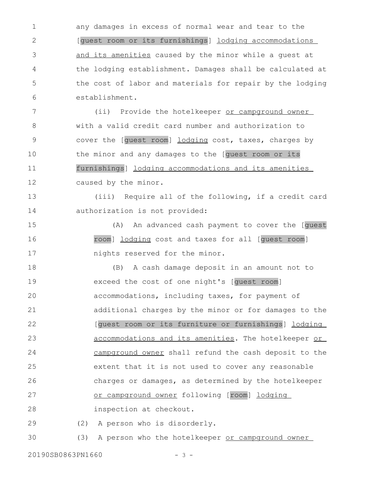any damages in excess of normal wear and tear to the [guest room or its furnishings] lodging accommodations and its amenities caused by the minor while a guest at the lodging establishment. Damages shall be calculated at the cost of labor and materials for repair by the lodging establishment. 1 2 3 4 5 6

(ii) Provide the hotelkeeper or campground owner with a valid credit card number and authorization to cover the [guest room] lodging cost, taxes, charges by the minor and any damages to the [guest room or its furnishings] lodging accommodations and its amenities caused by the minor. 7 8 9 10 11 12

(iii) Require all of the following, if a credit card authorization is not provided: 13 14

(A) An advanced cash payment to cover the [guest room] lodging cost and taxes for all [guest room] nights reserved for the minor. 15 16 17

(B) A cash damage deposit in an amount not to exceed the cost of one night's [guest room] accommodations, including taxes, for payment of additional charges by the minor or for damages to the [guest room or its furniture or furnishings] lodging accommodations and its amenities. The hotelkeeper or campground owner shall refund the cash deposit to the extent that it is not used to cover any reasonable charges or damages, as determined by the hotelkeeper or campground owner following [room] lodging inspection at checkout. 18 19 20 21 22 23 24 25 26 27 28

(2) A person who is disorderly. 29

(3) A person who the hotelkeeper or campground owner 30

20190SB0863PN1660 - 3 -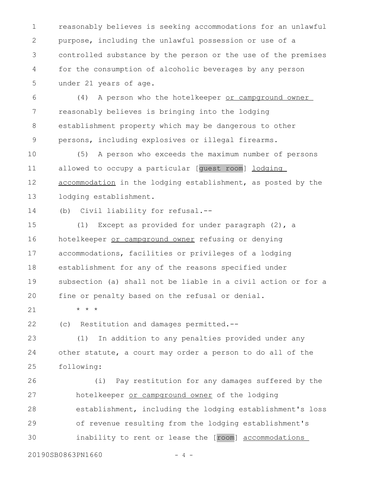reasonably believes is seeking accommodations for an unlawful purpose, including the unlawful possession or use of a controlled substance by the person or the use of the premises for the consumption of alcoholic beverages by any person under 21 years of age. 1 2 3 4 5

(4) A person who the hotelkeeper or campground owner reasonably believes is bringing into the lodging establishment property which may be dangerous to other persons, including explosives or illegal firearms. 6 7 8 9

(5) A person who exceeds the maximum number of persons allowed to occupy a particular [guest room] lodging accommodation in the lodging establishment, as posted by the lodging establishment. 10 11 12 13

(b) Civil liability for refusal.-- 14

(1) Except as provided for under paragraph (2), a hotelkeeper or campground owner refusing or denying accommodations, facilities or privileges of a lodging establishment for any of the reasons specified under subsection (a) shall not be liable in a civil action or for a fine or penalty based on the refusal or denial. 15 16 17 18 19 20

21

\* \* \*

(c) Restitution and damages permitted.-- 22

(1) In addition to any penalties provided under any other statute, a court may order a person to do all of the following: 23 24 25

(i) Pay restitution for any damages suffered by the hotelkeeper or campground owner of the lodging establishment, including the lodging establishment's loss of revenue resulting from the lodging establishment's inability to rent or lease the [room] accommodations 26 27 28 29 30

20190SB0863PN1660 - 4 -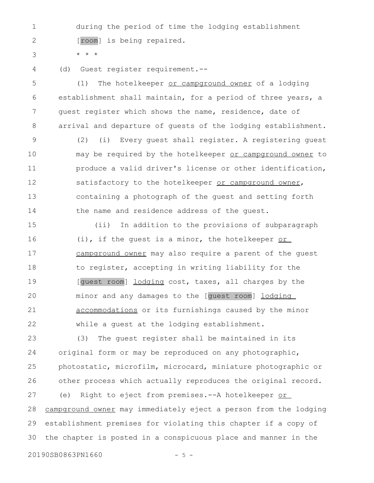during the period of time the lodging establishment [room] is being repaired. 1 2

3

4

\* \* \*

(d) Guest register requirement.--

(1) The hotelkeeper or campground owner of a lodging establishment shall maintain, for a period of three years, a guest register which shows the name, residence, date of arrival and departure of guests of the lodging establishment. 5 6 7 8

(2) (i) Every guest shall register. A registering guest may be required by the hotelkeeper or campground owner to produce a valid driver's license or other identification, satisfactory to the hotelkeeper or campground owner, containing a photograph of the guest and setting forth the name and residence address of the guest. 9 10 11 12 13 14

(ii) In addition to the provisions of subparagraph (i), if the guest is a minor, the hotelkeeper or campground owner may also require a parent of the guest to register, accepting in writing liability for the [guest room] lodging cost, taxes, all charges by the minor and any damages to the [guest room] lodging accommodations or its furnishings caused by the minor while a guest at the lodging establishment. 15 16 17 18 19 20 21 22

(3) The guest register shall be maintained in its original form or may be reproduced on any photographic, photostatic, microfilm, microcard, miniature photographic or other process which actually reproduces the original record. (e) Right to eject from premises.--A hotelkeeper or campground owner may immediately eject a person from the lodging establishment premises for violating this chapter if a copy of the chapter is posted in a conspicuous place and manner in the 23 24 25 26 27 28 29 30

20190SB0863PN1660 - 5 -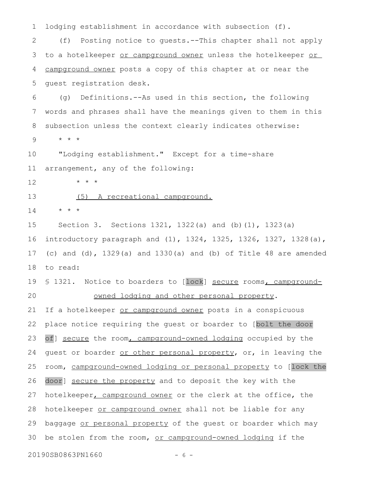lodging establishment in accordance with subsection (f). (f) Posting notice to guests.--This chapter shall not apply to a hotelkeeper or campground owner unless the hotelkeeper or campground owner posts a copy of this chapter at or near the guest registration desk. (g) Definitions.--As used in this section, the following words and phrases shall have the meanings given to them in this subsection unless the context clearly indicates otherwise: \* \* \* "Lodging establishment." Except for a time-share arrangement, any of the following: \* \* \* (5) A recreational campground. \* \* \* Section 3. Sections 1321, 1322(a) and (b)(1), 1323(a) introductory paragraph and (1), 1324, 1325, 1326, 1327, 1328(a), (c) and (d), 1329(a) and 1330(a) and (b) of Title 48 are amended to read: § 1321. Notice to boarders to [lock] secure rooms, campgroundowned lodging and other personal property. If a hotelkeeper or campground owner posts in a conspicuous place notice requiring the guest or boarder to [bolt the door of] secure the room, campground-owned lodging occupied by the guest or boarder or other personal property, or, in leaving the room, campground-owned lodging or personal property to [lock the door] secure the property and to deposit the key with the hotelkeeper, campground owner or the clerk at the office, the hotelkeeper or campground owner shall not be liable for any baggage or personal property of the guest or boarder which may be stolen from the room, or campground-owned lodging if the 20190SB0863PN1660 - 6 -1 2 3 4 5 6 7 8 9 10 11 12 13 14 15 16 17 18 19 20 21 22 23 24 25 26 27 28 29 30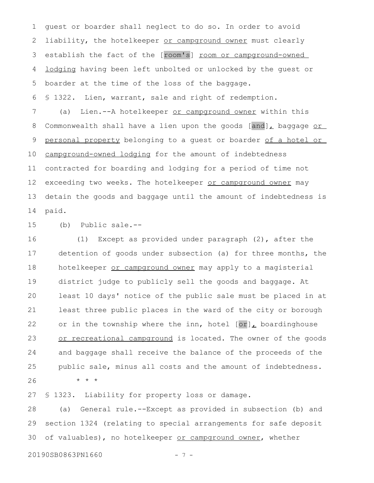guest or boarder shall neglect to do so. In order to avoid liability, the hotelkeeper or campground owner must clearly establish the fact of the [room's] room or campground-owned lodging having been left unbolted or unlocked by the guest or boarder at the time of the loss of the baggage. 1 2 3 4 5

§ 1322. Lien, warrant, sale and right of redemption. 6

(a) Lien.--A hotelkeeper or campground owner within this Commonwealth shall have a lien upon the goods  $[and]_L$  baggage or personal property belonging to a guest or boarder of a hotel or campground-owned lodging for the amount of indebtedness contracted for boarding and lodging for a period of time not exceeding two weeks. The hotelkeeper or campground owner may detain the goods and baggage until the amount of indebtedness is paid. 7 8 9 10 11 12 13 14

(b) Public sale.-- 15

(1) Except as provided under paragraph (2), after the detention of goods under subsection (a) for three months, the hotelkeeper or campground owner may apply to a magisterial district judge to publicly sell the goods and baggage. At least 10 days' notice of the public sale must be placed in at least three public places in the ward of the city or borough or in the township where the inn, hotel  $[or]_L$  boardinghouse or recreational campground is located. The owner of the goods and baggage shall receive the balance of the proceeds of the public sale, minus all costs and the amount of indebtedness. \* \* \* 16 17 18 19 20 21 22 23 24 25 26

§ 1323. Liability for property loss or damage. 27

(a) General rule.--Except as provided in subsection (b) and section 1324 (relating to special arrangements for safe deposit of valuables), no hotelkeeper or campground owner, whether 28 29 30

20190SB0863PN1660 - 7 -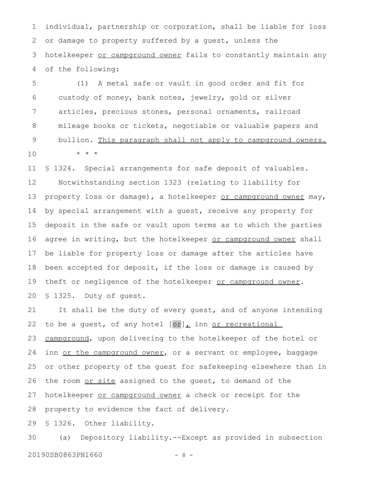individual, partnership or corporation, shall be liable for loss or damage to property suffered by a guest, unless the hotelkeeper or campground owner fails to constantly maintain any of the following: 1 2 3 4

(1) A metal safe or vault in good order and fit for custody of money, bank notes, jewelry, gold or silver articles, precious stones, personal ornaments, railroad mileage books or tickets, negotiable or valuable papers and bullion. This paragraph shall not apply to campground owners. \* \* \* 5 6 7 8 9 10

§ 1324. Special arrangements for safe deposit of valuables. Notwithstanding section 1323 (relating to liability for property loss or damage), a hotelkeeper or campground owner may, by special arrangement with a guest, receive any property for deposit in the safe or vault upon terms as to which the parties agree in writing, but the hotelkeeper or campground owner shall be liable for property loss or damage after the articles have been accepted for deposit, if the loss or damage is caused by theft or negligence of the hotelkeeper or campground owner. § 1325. Duty of guest. 11 12 13 14 15 16 17 18 19 20

It shall be the duty of every guest, and of anyone intending to be a guest, of any hotel  $[or]_L$  inn or recreational campground, upon delivering to the hotelkeeper of the hotel or inn or the campground owner, or a servant or employee, baggage or other property of the guest for safekeeping elsewhere than in the room or site assigned to the guest, to demand of the hotelkeeper or campground owner a check or receipt for the property to evidence the fact of delivery. 21 22 23 24 25 26 27 28

§ 1326. Other liability. 29

(a) Depository liability.--Except as provided in subsection 20190SB0863PN1660 - 8 -30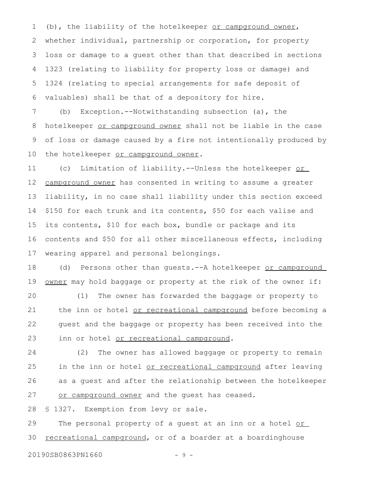(b), the liability of the hotelkeeper or campground owner, whether individual, partnership or corporation, for property loss or damage to a guest other than that described in sections 1323 (relating to liability for property loss or damage) and 1324 (relating to special arrangements for safe deposit of valuables) shall be that of a depository for hire. 1 2 3 4 5 6

(b) Exception.--Notwithstanding subsection (a), the hotelkeeper or campground owner shall not be liable in the case of loss or damage caused by a fire not intentionally produced by the hotelkeeper or campground owner. 7 8 9 10

(c) Limitation of liability.--Unless the hotelkeeper or campground owner has consented in writing to assume a greater liability, in no case shall liability under this section exceed \$150 for each trunk and its contents, \$50 for each valise and its contents, \$10 for each box, bundle or package and its contents and \$50 for all other miscellaneous effects, including wearing apparel and personal belongings. 11 12 13 14 15 16 17

(d) Persons other than guests.--A hotelkeeper or campground owner may hold baggage or property at the risk of the owner if: 18 19

(1) The owner has forwarded the baggage or property to the inn or hotel or recreational campground before becoming a guest and the baggage or property has been received into the inn or hotel or recreational campground. 20 21 22 23

(2) The owner has allowed baggage or property to remain in the inn or hotel or recreational campground after leaving as a guest and after the relationship between the hotelkeeper or campground owner and the guest has ceased. 24 25 26 27

§ 1327. Exemption from levy or sale. 28

The personal property of a guest at an inn or a hotel or recreational campground, or of a boarder at a boardinghouse 29 30

20190SB0863PN1660 - 9 -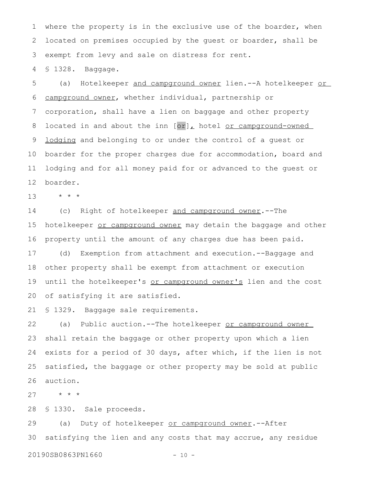where the property is in the exclusive use of the boarder, when located on premises occupied by the guest or boarder, shall be exempt from levy and sale on distress for rent. 1 2 3

§ 1328. Baggage. 4

(a) Hotelkeeper and campground owner lien.--A hotelkeeper or campground owner, whether individual, partnership or corporation, shall have a lien on baggage and other property located in and about the inn [or], hotel or campground-owned lodging and belonging to or under the control of a guest or boarder for the proper charges due for accommodation, board and lodging and for all money paid for or advanced to the guest or boarder. 5 6 7 8 9 10 11 12

\* \* \* 13

(c) Right of hotelkeeper and campground owner.--The hotelkeeper or campground owner may detain the baggage and other property until the amount of any charges due has been paid. (d) Exemption from attachment and execution.--Baggage and 14 15 16 17

other property shall be exempt from attachment or execution until the hotelkeeper's or campground owner's lien and the cost of satisfying it are satisfied. 18 19 20

§ 1329. Baggage sale requirements. 21

(a) Public auction.--The hotelkeeper or campground owner shall retain the baggage or other property upon which a lien exists for a period of 30 days, after which, if the lien is not satisfied, the baggage or other property may be sold at public auction. 22 23 24 25 26

\* \* \* 27

§ 1330. Sale proceeds. 28

(a) Duty of hotelkeeper or campground owner. -- After satisfying the lien and any costs that may accrue, any residue 29 30

20190SB0863PN1660 - 10 -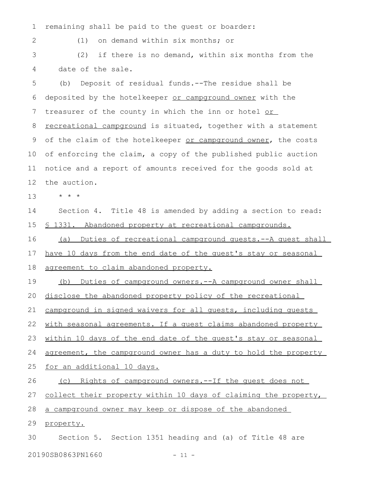remaining shall be paid to the guest or boarder: 1

2

(1) on demand within six months; or

(2) if there is no demand, within six months from the date of the sale. 3 4

(b) Deposit of residual funds.--The residue shall be deposited by the hotelkeeper or campground owner with the treasurer of the county in which the inn or hotel or recreational campground is situated, together with a statement of the claim of the hotelkeeper or campground owner, the costs of enforcing the claim, a copy of the published public auction notice and a report of amounts received for the goods sold at the auction. 5 6 7 8 9 10 11 12

\* \* \* 13

Section 4. Title 48 is amended by adding a section to read: § 1331. Abandoned property at recreational campgrounds. 14 15

(a) Duties of recreational campground guests.--A guest shall have 10 days from the end date of the quest's stay or seasonal agreement to claim abandoned property. 16 17 18

(b) Duties of campground owners.--A campground owner shall 19

disclose the abandoned property policy of the recreational 20

campground in signed waivers for all guests, including guests 21

with seasonal agreements. If a quest claims abandoned property 22

within 10 days of the end date of the quest's stay or seasonal 23

agreement, the campground owner has a duty to hold the property 24

for an additional 10 days. 25

(c) Rights of campground owners.--If the guest does not 26

collect their property within 10 days of claiming the property, 27

a campground owner may keep or dispose of the abandoned 28

property. 29

Section 5. Section 1351 heading and (a) of Title 48 are 30

20190SB0863PN1660 - 11 -